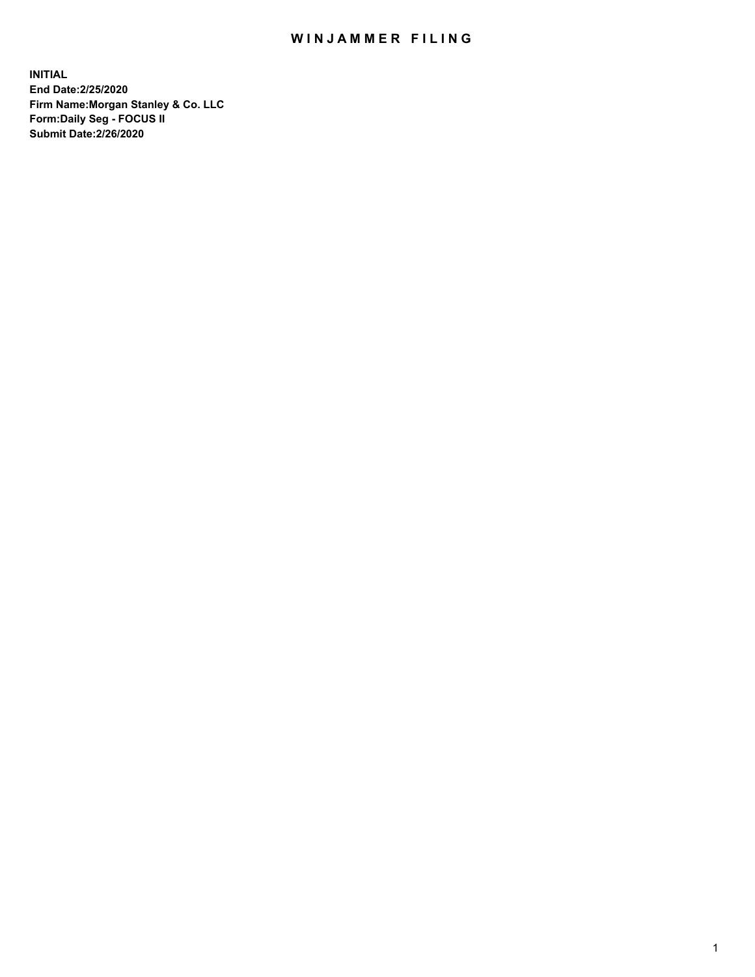## WIN JAMMER FILING

**INITIAL End Date:2/25/2020 Firm Name:Morgan Stanley & Co. LLC Form:Daily Seg - FOCUS II Submit Date:2/26/2020**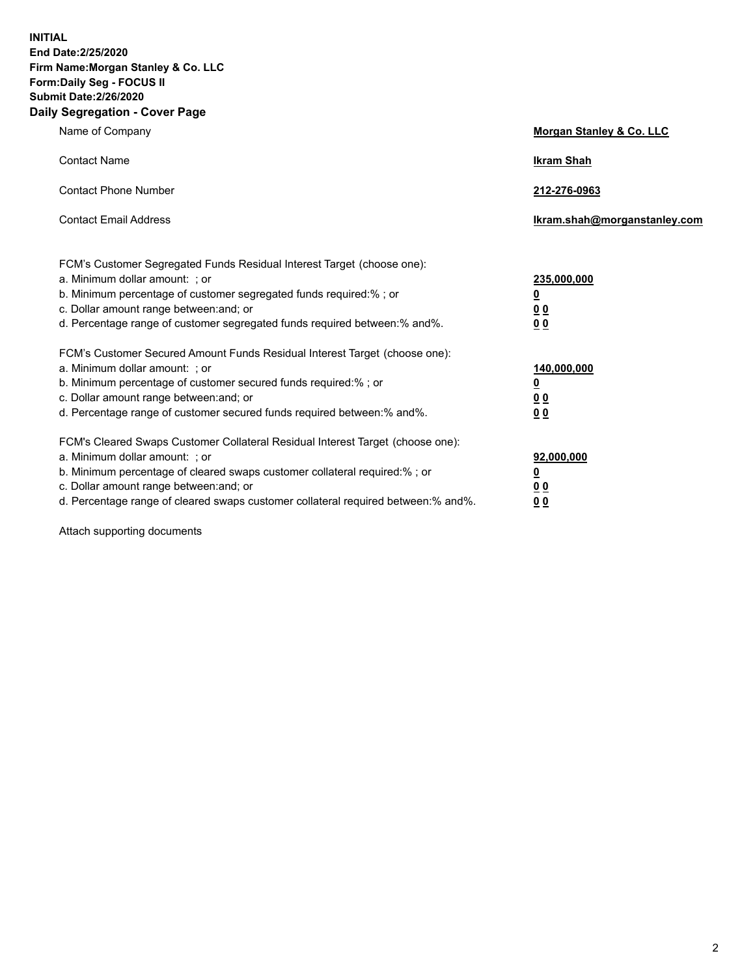**INITIAL End Date:2/25/2020 Firm Name:Morgan Stanley & Co. LLC Form:Daily Seg - FOCUS II Submit Date:2/26/2020 Daily Segregation - Cover Page**

| Name of Company                                                                                                                                                                                                                                                                                                                | Morgan Stanley & Co. LLC                                |
|--------------------------------------------------------------------------------------------------------------------------------------------------------------------------------------------------------------------------------------------------------------------------------------------------------------------------------|---------------------------------------------------------|
| <b>Contact Name</b>                                                                                                                                                                                                                                                                                                            | <b>Ikram Shah</b>                                       |
| <b>Contact Phone Number</b>                                                                                                                                                                                                                                                                                                    | 212-276-0963                                            |
| <b>Contact Email Address</b>                                                                                                                                                                                                                                                                                                   | Ikram.shah@morganstanley.com                            |
| FCM's Customer Segregated Funds Residual Interest Target (choose one):<br>a. Minimum dollar amount: ; or<br>b. Minimum percentage of customer segregated funds required:% ; or<br>c. Dollar amount range between: and; or<br>d. Percentage range of customer segregated funds required between:% and%.                         | 235,000,000<br><u>0</u><br><u>00</u><br><u>00</u>       |
| FCM's Customer Secured Amount Funds Residual Interest Target (choose one):<br>a. Minimum dollar amount: ; or<br>b. Minimum percentage of customer secured funds required:%; or<br>c. Dollar amount range between: and; or<br>d. Percentage range of customer secured funds required between:% and%.                            | 140,000,000<br><u>0</u><br><u>0 0</u><br>0 <sub>0</sub> |
| FCM's Cleared Swaps Customer Collateral Residual Interest Target (choose one):<br>a. Minimum dollar amount: ; or<br>b. Minimum percentage of cleared swaps customer collateral required:% ; or<br>c. Dollar amount range between: and; or<br>d. Percentage range of cleared swaps customer collateral required between:% and%. | 92,000,000<br><u>0</u><br><u>00</u><br>00               |

Attach supporting documents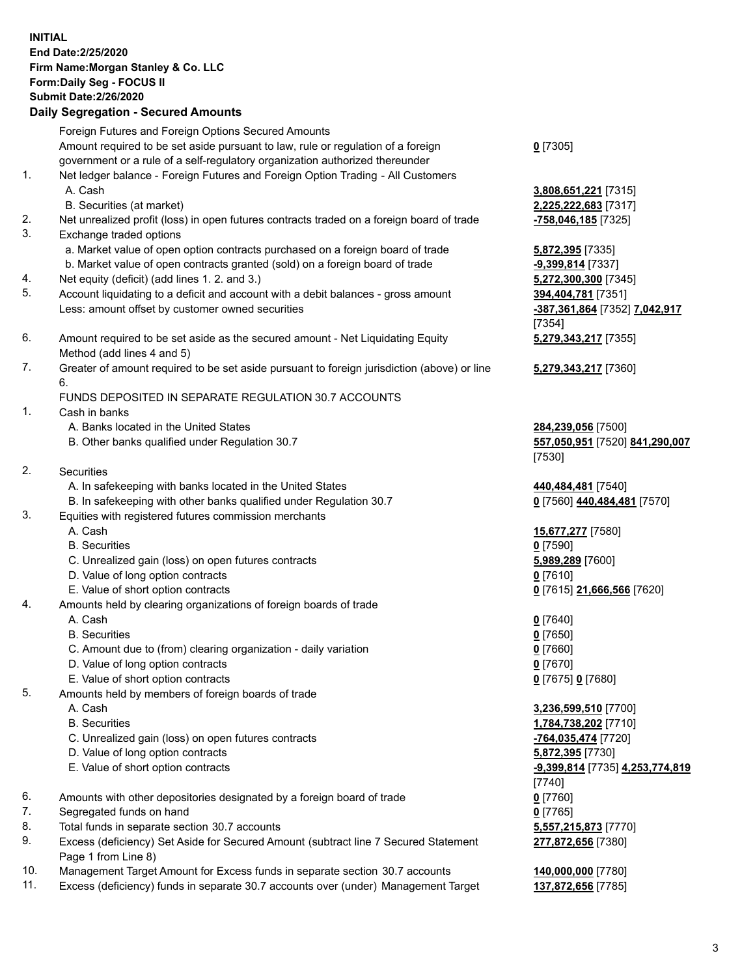## **INITIAL End Date:2/25/2020 Firm Name:Morgan Stanley & Co. LLC Form:Daily Seg - FOCUS II Submit Date:2/26/2020 Daily Segregation - Secured Amounts** Foreign Futures and Foreign Options Secured Amounts Amount required to be set aside pursuant to law, rule or regulation of a foreign government or a rule of a self-regulatory organization authorized thereunder **0** [7305] 1. Net ledger balance - Foreign Futures and Foreign Option Trading - All Customers A. Cash **3,808,651,221** [7315] B. Securities (at market) **2,225,222,683** [7317] 2. Net unrealized profit (loss) in open futures contracts traded on a foreign board of trade **-758,046,185** [7325] 3. Exchange traded options a. Market value of open option contracts purchased on a foreign board of trade **5,872,395** [7335] b. Market value of open contracts granted (sold) on a foreign board of trade **-9,399,814** [7337] 4. Net equity (deficit) (add lines 1. 2. and 3.) **5,272,300,300** [7345] 5. Account liquidating to a deficit and account with a debit balances - gross amount **394,404,781** [7351] Less: amount offset by customer owned securities **-387,361,864** [7352] **7,042,917** [7354] 6. Amount required to be set aside as the secured amount - Net Liquidating Equity Method (add lines 4 and 5) **5,279,343,217** [7355] 7. Greater of amount required to be set aside pursuant to foreign jurisdiction (above) or line 6. **5,279,343,217** [7360] FUNDS DEPOSITED IN SEPARATE REGULATION 30.7 ACCOUNTS 1. Cash in banks A. Banks located in the United States **284,239,056** [7500] B. Other banks qualified under Regulation 30.7 **557,050,951** [7520] **841,290,007** [7530] 2. Securities A. In safekeeping with banks located in the United States **440,484,481** [7540] B. In safekeeping with other banks qualified under Regulation 30.7 **0** [7560] **440,484,481** [7570] 3. Equities with registered futures commission merchants A. Cash **15,677,277** [7580] B. Securities **0** [7590] C. Unrealized gain (loss) on open futures contracts **5,989,289** [7600] D. Value of long option contracts **0** [7610] E. Value of short option contracts **0** [7615] **21,666,566** [7620] 4. Amounts held by clearing organizations of foreign boards of trade A. Cash **0** [7640] B. Securities **0** [7650] C. Amount due to (from) clearing organization - daily variation **0** [7660] D. Value of long option contracts **0** [7670] E. Value of short option contracts **0** [7675] **0** [7680] 5. Amounts held by members of foreign boards of trade A. Cash **3,236,599,510** [7700] B. Securities **1,784,738,202** [7710] C. Unrealized gain (loss) on open futures contracts **-764,035,474** [7720] D. Value of long option contracts **5,872,395** [7730] E. Value of short option contracts **-9,399,814** [7735] **4,253,774,819** [7740] 6. Amounts with other depositories designated by a foreign board of trade **0** [7760] 7. Segregated funds on hand **0** [7765] 8. Total funds in separate section 30.7 accounts **5,557,215,873** [7770] 9. Excess (deficiency) Set Aside for Secured Amount (subtract line 7 Secured Statement Page 1 from Line 8) **277,872,656** [7380]

- 10. Management Target Amount for Excess funds in separate section 30.7 accounts **140,000,000** [7780]
- 11. Excess (deficiency) funds in separate 30.7 accounts over (under) Management Target **137,872,656** [7785]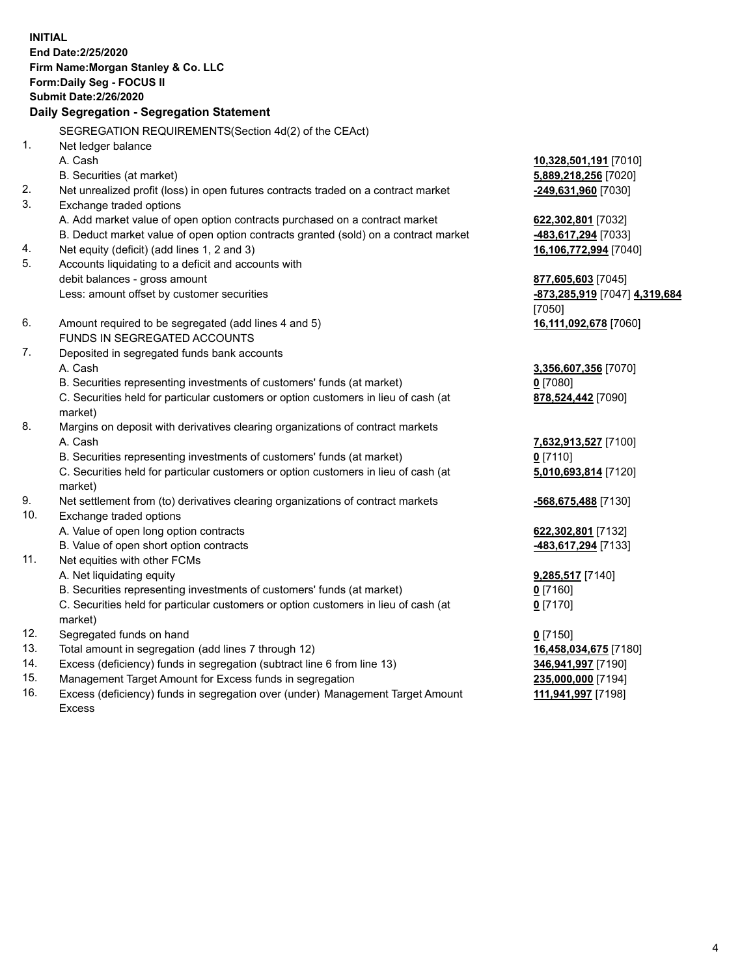**INITIAL End Date:2/25/2020 Firm Name:Morgan Stanley & Co. LLC Form:Daily Seg - FOCUS II Submit Date:2/26/2020 Daily Segregation - Segregation Statement** SEGREGATION REQUIREMENTS(Section 4d(2) of the CEAct) 1. Net ledger balance A. Cash **10,328,501,191** [7010] B. Securities (at market) **5,889,218,256** [7020] 2. Net unrealized profit (loss) in open futures contracts traded on a contract market **-249,631,960** [7030] 3. Exchange traded options A. Add market value of open option contracts purchased on a contract market **622,302,801** [7032] B. Deduct market value of open option contracts granted (sold) on a contract market **-483,617,294** [7033] 4. Net equity (deficit) (add lines 1, 2 and 3) **16,106,772,994** [7040] 5. Accounts liquidating to a deficit and accounts with debit balances - gross amount **877,605,603** [7045] Less: amount offset by customer securities **-873,285,919** [7047] **4,319,684** [7050] 6. Amount required to be segregated (add lines 4 and 5) **16,111,092,678** [7060] FUNDS IN SEGREGATED ACCOUNTS 7. Deposited in segregated funds bank accounts A. Cash **3,356,607,356** [7070] B. Securities representing investments of customers' funds (at market) **0** [7080] C. Securities held for particular customers or option customers in lieu of cash (at market) **878,524,442** [7090] 8. Margins on deposit with derivatives clearing organizations of contract markets A. Cash **7,632,913,527** [7100] B. Securities representing investments of customers' funds (at market) **0** [7110] C. Securities held for particular customers or option customers in lieu of cash (at market) **5,010,693,814** [7120] 9. Net settlement from (to) derivatives clearing organizations of contract markets **-568,675,488** [7130] 10. Exchange traded options A. Value of open long option contracts **622,302,801** [7132] B. Value of open short option contracts **-483,617,294** [7133] 11. Net equities with other FCMs A. Net liquidating equity **9,285,517** [7140] B. Securities representing investments of customers' funds (at market) **0** [7160] C. Securities held for particular customers or option customers in lieu of cash (at market) **0** [7170] 12. Segregated funds on hand **0** [7150] 13. Total amount in segregation (add lines 7 through 12) **16,458,034,675** [7180] 14. Excess (deficiency) funds in segregation (subtract line 6 from line 13) **346,941,997** [7190] 15. Management Target Amount for Excess funds in segregation **235,000,000** [7194]

16. Excess (deficiency) funds in segregation over (under) Management Target Amount Excess

**111,941,997** [7198]